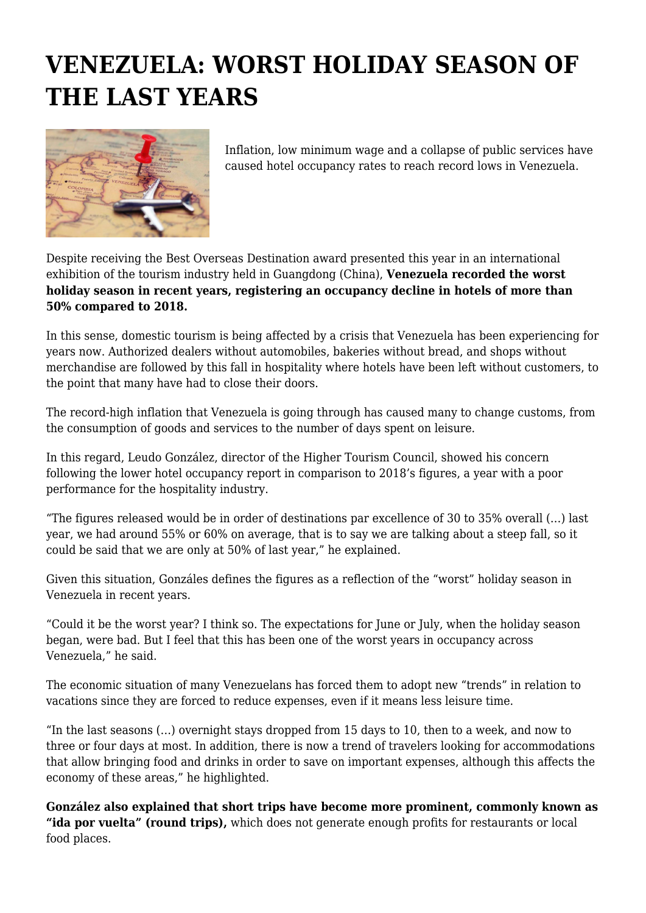## **VENEZUELA: WORST HOLIDAY SEASON OF THE LAST YEARS**



Inflation, low minimum wage and a collapse of public services have caused hotel occupancy rates to reach record lows in Venezuela.

Despite receiving the Best Overseas Destination award presented this year in an international exhibition of the tourism industry held in Guangdong (China), **Venezuela recorded the worst holiday season in recent years, registering an occupancy decline in hotels of more than 50% compared to 2018.**

In this sense, domestic tourism is being affected by a crisis that Venezuela has been experiencing for years now. Authorized dealers without automobiles, bakeries without bread, and shops without merchandise are followed by this fall in hospitality where hotels have been left without customers, to the point that many have had to close their doors.

The record-high inflation that Venezuela is going through has caused many to change customs, from the consumption of goods and services to the number of days spent on leisure.

In this regard, Leudo González, director of the Higher Tourism Council, showed his concern following the lower hotel occupancy report in comparison to 2018's figures, a year with a poor performance for the hospitality industry.

"The figures released would be in order of destinations par excellence of 30 to 35% overall (…) last year, we had around 55% or 60% on average, that is to say we are talking about a steep fall, so it could be said that we are only at 50% of last year," he explained.

Given this situation, Gonzáles defines the figures as a reflection of the "worst" holiday season in Venezuela in recent years.

"Could it be the worst year? I think so. The expectations for June or July, when the holiday season began, were bad. But I feel that this has been one of the worst years in occupancy across Venezuela," he said.

The economic situation of many Venezuelans has forced them to adopt new "trends" in relation to vacations since they are forced to reduce expenses, even if it means less leisure time.

"In the last seasons (…) overnight stays dropped from 15 days to 10, then to a week, and now to three or four days at most. In addition, there is now a trend of travelers looking for accommodations that allow bringing food and drinks in order to save on important expenses, although this affects the economy of these areas," he highlighted.

**González also explained that short trips have become more prominent, commonly known as "ida por vuelta" (round trips),** which does not generate enough profits for restaurants or local food places.